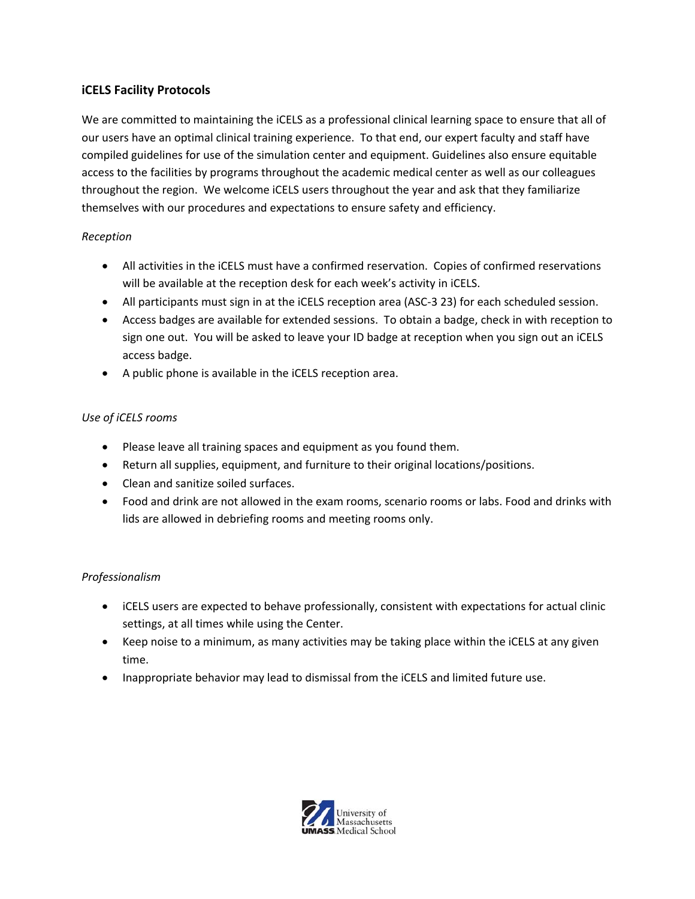# **iCELS Facility Protocols**

We are committed to maintaining the iCELS as a professional clinical learning space to ensure that all of our users have an optimal clinical training experience. To that end, our expert faculty and staff have compiled guidelines for use of the simulation center and equipment. Guidelines also ensure equitable access to the facilities by programs throughout the academic medical center as well as our colleagues throughout the region. We welcome iCELS users throughout the year and ask that they familiarize themselves with our procedures and expectations to ensure safety and efficiency.

# *Reception*

- All activities in the iCELS must have a confirmed reservation. Copies of confirmed reservations will be available at the reception desk for each week's activity in iCELS.
- All participants must sign in at the iCELS reception area (ASC-3 23) for each scheduled session.
- Access badges are available for extended sessions. To obtain a badge, check in with reception to sign one out. You will be asked to leave your ID badge at reception when you sign out an iCELS access badge.
- A public phone is available in the iCELS reception area.

# *Use of iCELS rooms*

- Please leave all training spaces and equipment as you found them.
- Return all supplies, equipment, and furniture to their original locations/positions.
- Clean and sanitize soiled surfaces.
- Food and drink are not allowed in the exam rooms, scenario rooms or labs. Food and drinks with lids are allowed in debriefing rooms and meeting rooms only.

# *Professionalism*

- iCELS users are expected to behave professionally, consistent with expectations for actual clinic settings, at all times while using the Center.
- Keep noise to a minimum, as many activities may be taking place within the iCELS at any given time.
- Inappropriate behavior may lead to dismissal from the iCELS and limited future use.